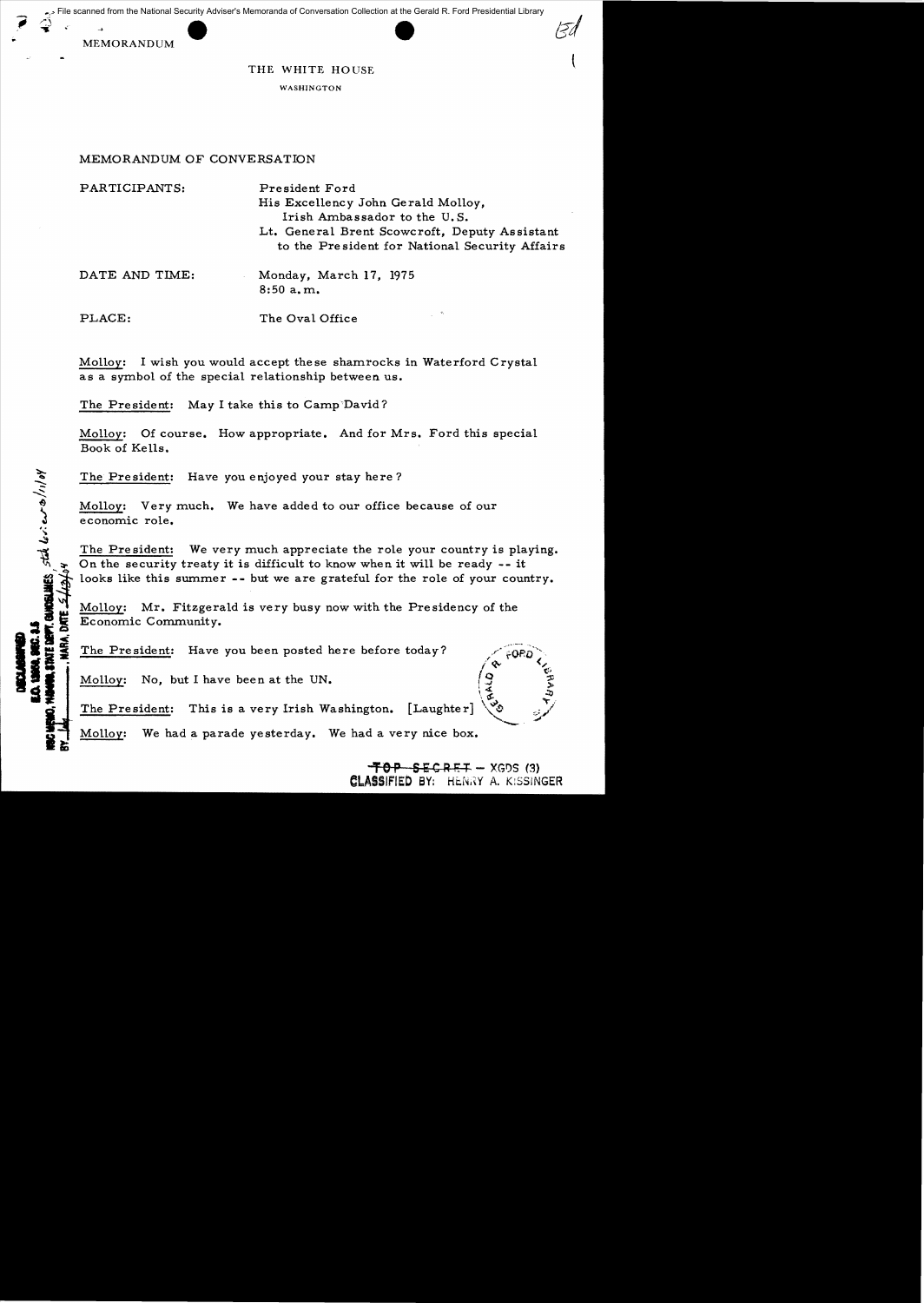MEMORANDUM



## THE WHITE HOUSE

WASHINGTON

## MEMORANDUM OF CONVERSATION

PARTICIPANTS: President Ford

His Excellency John Gerald Molloy, Irish Ambassador to the U. S. Lt. General Brent Scowcroft, Deputy Assistant to the President for National Security Mfairs

DATE AND TIME: Monday, March 17, 1975 8:50 a. m.

يمه

I VAN VAN DE

PLACE: The Oval Office

Molloy: I wish you would accept these shamrocks in Waterford Crystal as a symbol of the special relationship between us.

The President: May I take this to Camp'David?

Molloy: Of course. How appropriate. And for Mrs. Ford this special Book of Kells.

The President: Have you enjoyed your stay here?

Molloy: Very much. We have added to our office because of our economic role.

The President: We very much appreciate the role your country is playing. On the security treaty it is difficult to know when it will be ready -- it looks like this summer  $--$  but we are grateful for the role of your country.

 $\frac{\text{Mollow:}}{\text{Economic Community.}}$  Molloy:  $\frac{\text{Mott of the } P}{\text{Mott of the } P}$ 

The President: Have you been posted here before today?

Molloy: No, but I have been at the UN.

 $\frac{3}{2}$  ... The President: This is a very Irish Washington.  $[$  Laughter $]$ 

Molloy: We had a parade yesterday. We had a very nice box.

 $-70P - SECRE+ - XGDS (3)$ **CLASSIFIED BY: HENRY A. KISSINGER** 

'- '/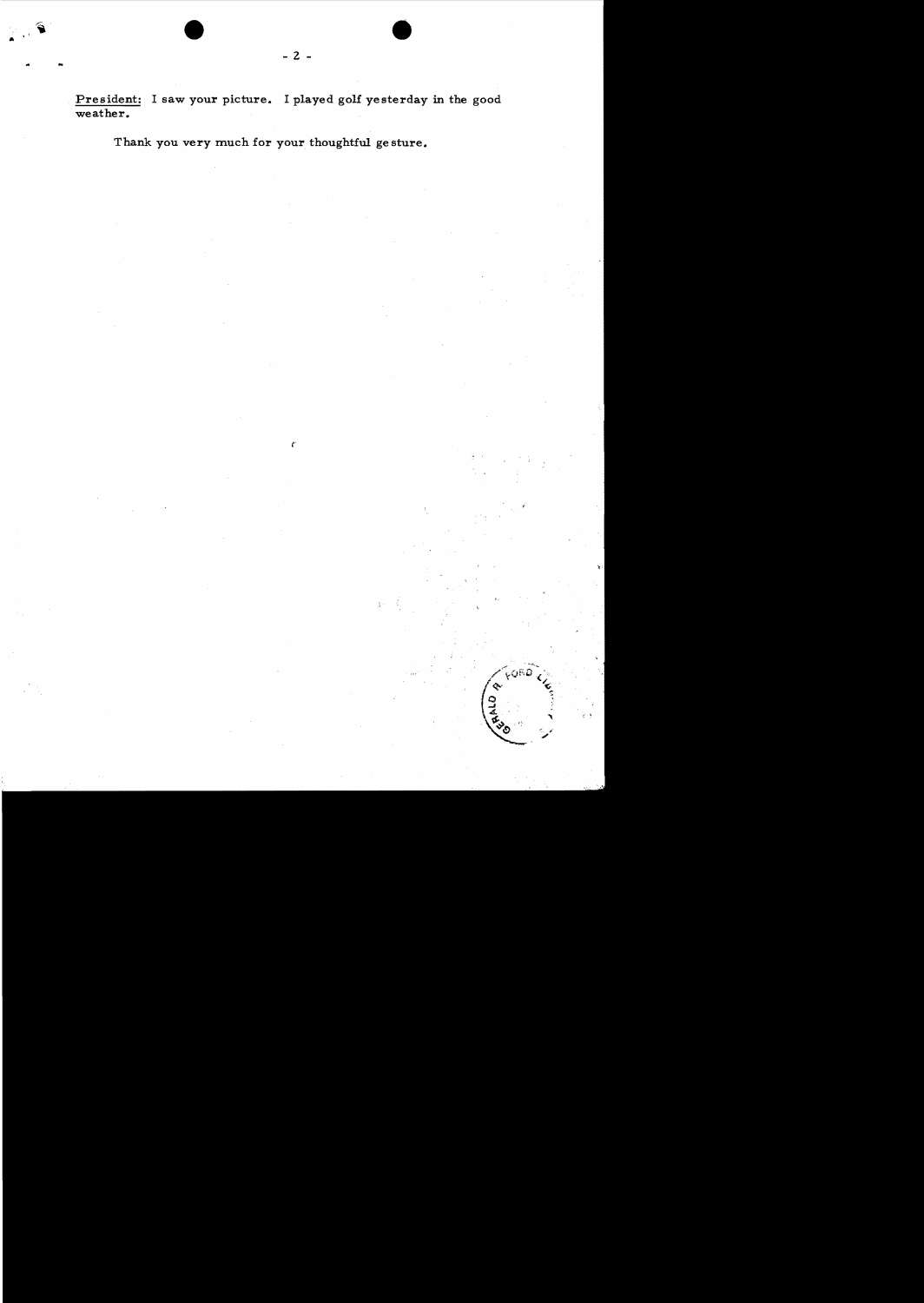President: I saw your picture. I played golf yesterday in the good weather.

 $\ell^{\circ}$ 

 $\tilde{\tilde{\lambda}}$ 

**QRD** 

Thank you very much for your thoughtful gesture.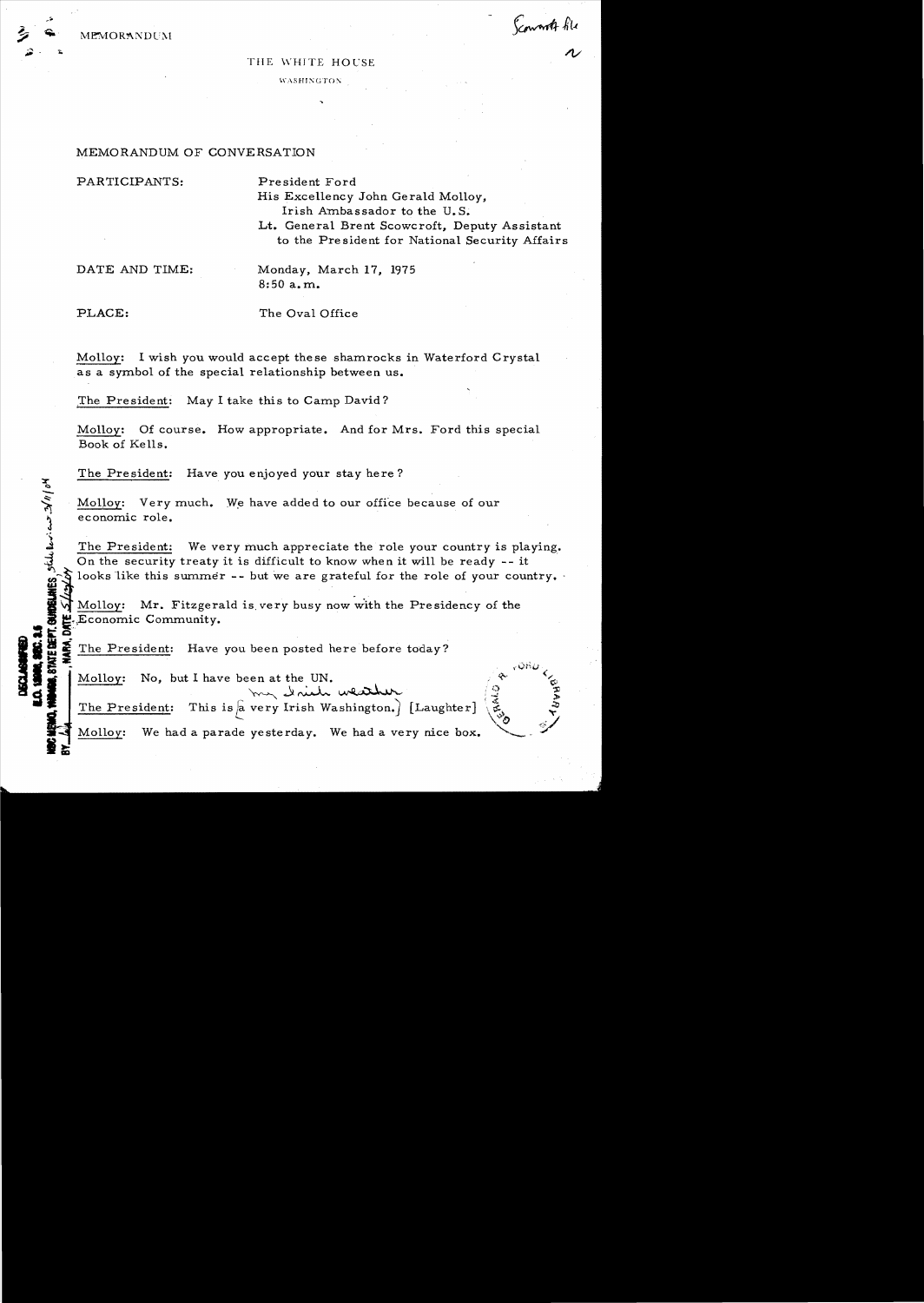

Scount fil

## THE WHITE HOUSE

WASHINGTON.

## MEMORANDUM OF CONVERSATION

PARTICIPANTS: President Ford

His Excellency John Gerald Molloy, Irish Ambassador to the U.S.

Lt. General Brent Scowcroft~ *Deputy* Assistant to the President for National *Security* Affairs

DATE AND TIME: Monday, March 17, 1975 8:50 a. m.

**I JAN MARIT OF** 

PLACE: The Oval Office

Mo1loy: I wish *you* would accept these shamrocks in Waterford Crystal as a symbol of the special relationship between us.

.The President: May I take this to Camp David?

Molloy: Of course. How appropriate. And for Mrs. Ford this special Book of Kells.

The President: Have *you* enjoyed *your* stay here?

Molloy: Very much. We have added to our office because of our economic role.

The President: We very much appreciate the role your country is playing.  ${\frac{1}{\sqrt{2}}}$  Molloy: Very much. We have added to our office because of our economic role.<br>  $\frac{1}{\sqrt{2}}$  The President: We very much appreciate the role your country is planet on the security treaty it is difficult to know looks like this summer -- but we are grateful for the role of your country.

~\l Mo1loy: Mr. Fitzgerald is. *very* busy now with the Presidency of the 1.....,Economic Community. :z .~.

The President: Have you been posted here before today?

Molloy: No, but I have been at the UN.

Molloy: No, but I have been at the UN.<br> *The President:* This is a very Irish Washington.) [Laughter]

Molloy: We had a parade yesterday. We had a *very* nice box. **It;**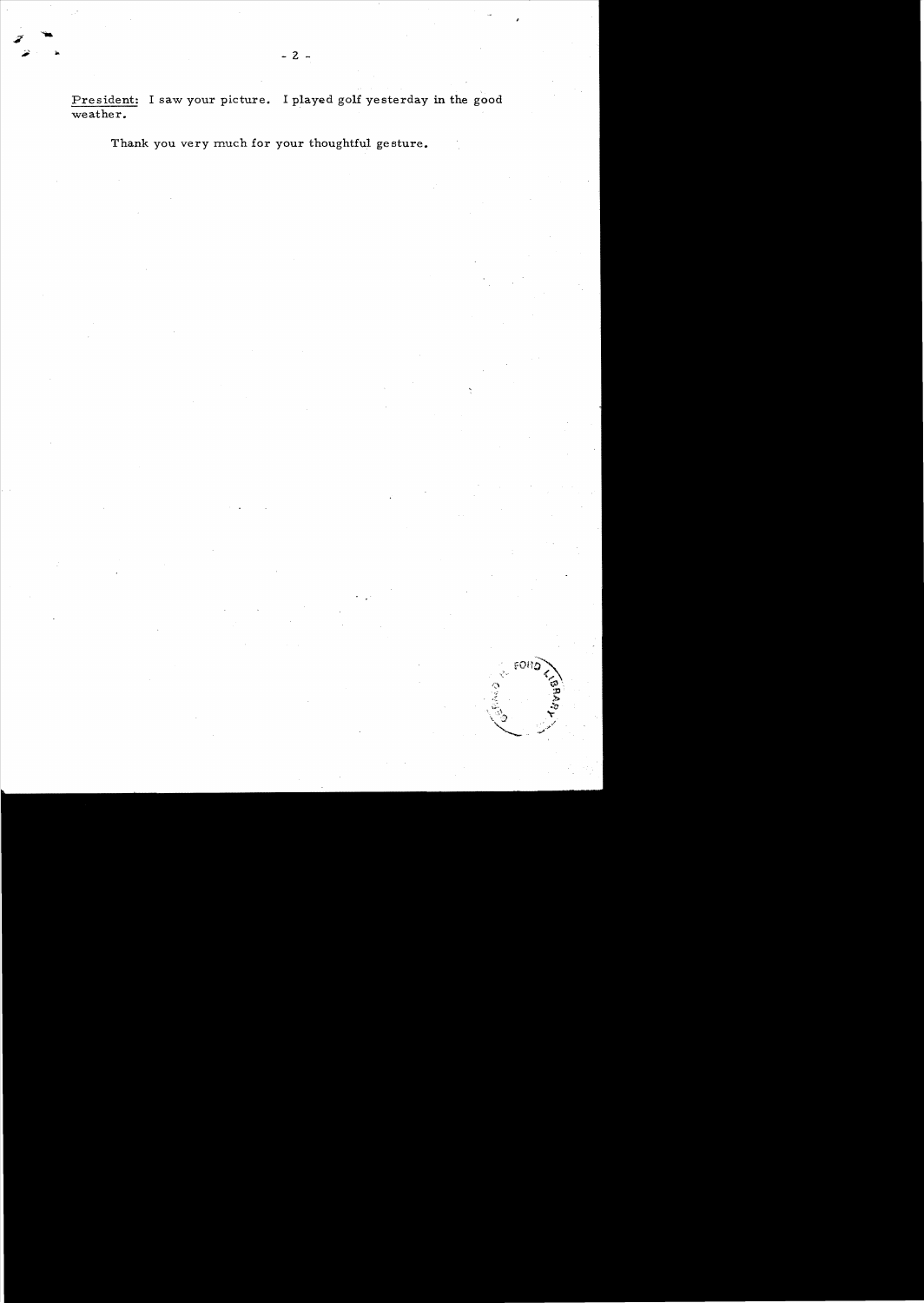President: I saw your picture. I played golf yesterday in the good weather.

Thank you very much for your thoughtful gesture.

FORL

гģ.

**O**<br>Second